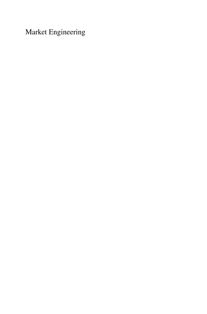Market Engineering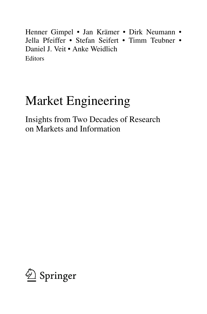Henner Gimpel • Jan Krämer • Dirk Neumann • Jella Pfeiffer • Stefan Seifert • Timm Teubner • Daniel J. Veit • Anke Weidlich Editors

## Market Engineering

Insights from Two Decades of Research on Markets and Information

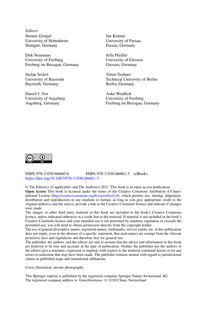*Editors* Henner Gimpel University of Hohenheim Stuttgart, Germany

Dirk Neumann University of Freiburg Freiburg im Breisgau, Germany

Stefan Seifert University of Bayreuth Bayreuth, Germany

Daniel J. Veit University of Augsburg Augsburg, Germany

Jan Krämer University of Passau Passau, Germany

Jella Pfeiffer University of Giessen Giessen, Germany

Timm Teubner Technical University of Berlin Berlin, Germany

Anke Weidlich University of Freiburg Freiburg im Breisgau, Germany



ISBN 978-3-030-66660-6 ISBN 978-3-030-66661-3 (eBook) <https://doi.org/10.1007/978-3-030-66661-3>

© The Editor(s) (if applicable) and The Author(s) 2021. This book is an open access publication.

**Open Access** This book is licensed under the terms of the Creative Commons Attribution 4.0 International License [\(http://creativecommons.org/licenses/by/4.0/\)](http://creativecommons.org/licenses/by/4.0/), which permits use, sharing, adaptation, distribution and reproduction in any medium or format, as long as you give appropriate credit to the original author(s) and the source, provide a link to the Creative Commons licence and indicate if changes were made.

The images or other third party material in this book are included in the book's Creative Commons licence, unless indicated otherwise in a credit line to the material. If material is not included in the book's Creative Commons licence and your intended use is not permitted by statutory regulation or exceeds the permitted use, you will need to obtain permission directly from the copyright holder.

The use of general descriptive names, registered names, trademarks, service marks, etc. in this publication does not imply, even in the absence of a specific statement, that such names are exempt from the relevant protective laws and regulations and therefore free for general use.

The publisher, the authors, and the editors are safe to assume that the advice and information in this book are believed to be true and accurate at the date of publication. Neither the publisher nor the authors or the editors give a warranty, expressed or implied, with respect to the material contained herein or for any errors or omissions that may have been made. The publisher remains neutral with regard to jurisdictional claims in published maps and institutional affiliations.

Cover illustration: private photography

This Springer imprint is published by the registered company Springer Nature Switzerland AG. The registered company address is: Gewerbestrasse 11, 6330 Cham, Switzerland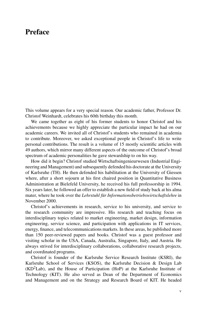## **Preface**

This volume appears for a very special reason. Our academic father, Professor Dr. Christof Weinhardt, celebrates his 60th birthday this month.

We came together as eight of his former students to honor Christof and his achievements because we highly appreciate the particular impact he had on our academic careers. We invited all of Christof's students who remained in academia to contribute. Moreover, we asked exceptional people in Christof's life to write personal contributions. The result is a volume of 15 mostly scientific articles with 49 authors, which mirror many different aspects of the outcome of Christof's broad spectrum of academic personalities he gave stewardship to on his way.

How did it begin? Christof studied Wirtschaftsingenieurwesen (Industrial Engineering and Management) and subsequently defended his doctorate at the University of Karlsruhe (TH). He then defended his habilitation at the University of Giessen where, after a short sojourn at his first chaired position in Quantitative Business Administration at Bielefeld University, he received his full professorship in 1994. Six years later, he followed an offer to establish a new field of study back at his alma mater, where he took over the *Lehrstuhl für Informationsbetriebswirtschaftslehre* in November 2000.

Christof's achievements in research, service to his university, and service to the research community are impressive. His research and teaching focus on interdisciplinary topics related to market engineering, market design, information engineering, service science, and participation with applications in IT services, energy, finance, and telecommunications markets. In these areas, he published more than 150 peer-reviewed papers and books. Christof was a guest professor and visiting scholar in the USA, Canada, Australia, Singapore, Italy, and Austria. He always strived for interdisciplinary collaborations, collaborative research projects, and coordinated programs.

Christof is founder of the Karlsruhe Service Research Institute (KSRI), the Karlsruhe School of Services (KSOS), the Karlsruhe Decision & Design Lab  $(KD<sup>2</sup>Lab)$ , and the House of Participation (HoP) at the Karlsruhe Institute of Technology (KIT). He also served as Dean of the Department of Economics and Management and on the Strategy and Research Board of KIT. He headed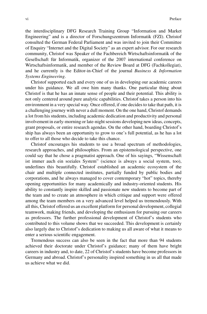the interdisciplinary DFG Research Training Group "Information and Market Engineering" and is a director of Forschungszentrum Informatik (FZI). Christof consulted the German Federal Parliament and was invited to join their Committee of Enquiry "Internet and the Digital Society" as an expert advisor. For our research community, Christof was Speaker of the Fachbereich Wirtschaftsinformatik of the Gesellschaft für Informatik, organizer of the 2007 international conference on Wirtschaftsinformatik, and member of the Review Board at DFG (Fachkollegiat), and he currently is the Editor-in-Chief of the journal *Business & Information Systems Engineering*.

Christof supported each and every one of us in developing our academic careers under his guidance. We all owe him many thanks. One particular thing about Christof is that he has an innate sense of people and their potential. This ability is not only centered around pure analytic capabilities. Christof takes a person into his environment in a very special way. Once offered, if one decides to take that path, it is a challenging journey with never a dull moment. On the one hand, Christof demands a lot from his students, including academic dedication and productivity and personal involvement in early-morning or late-night sessions developing new ideas, concepts, grant proposals, or entire research agendas. On the other hand, boarding Christof's ship has always been an opportunity to grow to one's full potential, as he has a lot to offer to all those who decide to take this chance.

Christof encourages his students to use a broad spectrum of methodologies, research approaches, and philosophies. From an epistemological perspective, one could say that he chose a pragmatist approach. One of his sayings, "Wissenschaft ist immer auch ein soziales System" (science is always a social system, too), underlines this beautifully. Christof established an academic ecosystem of the chair and multiple connected institutes, partially funded by public bodies and corporations, and he always managed to cover contemporary "hot" topics, thereby opening opportunities for many academically and industry-oriented students. His ability to constantly inspire skilled and passionate new students to become part of the team and to create an atmosphere in which critique and support were offered among the team members on a very advanced level helped us tremendously. With all this, Christof offered us an excellent platform for personal development, collegial teamwork, making friends, and developing the enthusiasm for pursuing our careers as professors. The further professional development of Christof's students who contributed to this volume shows that we succeeded. This development is certainly also largely due to Christof's dedication to making us all aware of what it means to enter a serious scientific engagement.

Tremendous success can also be seen in the fact that more than 94 students achieved their doctorate under Christof's guidance; many of them have bright careers in industry and, to date, 22 of Christof's students have become professors in Germany and abroad. Christof's personality inspired something in us all that made us achieve what we did.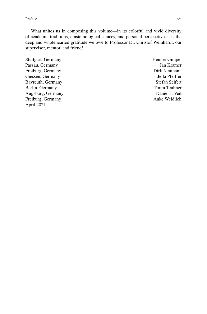Preface viii algebra in the contract of the contract of the contract of the contract of the contract of the contract of the contract of the contract of the contract of the contract of the contract of the contract of the co

What unites us in composing this volume—in its colorful and vivid diversity of academic traditions, epistemological stances, and personal perspectives—is the deep and wholehearted gratitude we owe to Professor Dr. Christof Weinhardt, our supervisor, mentor, and friend!

Stuttgart, Germany Henner Gimpel Passau, Germany Jan Krämer Freiburg, Germany Dirk Neumann Giessen, Germany Jella Pfeiffer Bayreuth, Germany Stefan Seifert Berlin, Germany Timm Teubner Augsburg, Germany Daniel J. Veit Freiburg, Germany **Ankersenser Ankersenser Ankersenser Ankersenser Ankersenser Ankersenser Ankersenser Ankersenser Ankersenser Ankersenser Ankersenser Ankersenser Ankersenser Ankersenser Ankersenser Ankersenser Ankersenser** April 2021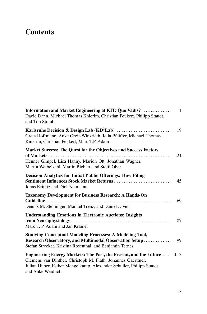## **Contents**

| Information and Market Engineering at KIT: Quo Vadis?<br>David Dann, Michael Thomas Knierim, Christian Peukert, Philipp Staudt,<br>and Tim Straub                                                                              | $\mathbf{1}$ |
|--------------------------------------------------------------------------------------------------------------------------------------------------------------------------------------------------------------------------------|--------------|
| Greta Hoffmann, Anke Greif-Winzrieth, Jella Pfeiffer, Michael Thomas<br>Knierim, Christian Peukert, Marc T.P. Adam                                                                                                             | 19           |
| <b>Market Success: The Quest for the Objectives and Success Factors</b>                                                                                                                                                        | 21           |
| Henner Gimpel, Lisa Hanny, Marion Ott, Jonathan Wagner,<br>Martin Weibelzahl, Martin Bichler, and Steffi Ober                                                                                                                  |              |
| <b>Decision Analytics for Initial Public Offerings: How Filing</b><br>Jonas Krinitz and Dirk Neumann                                                                                                                           | 45           |
| <b>Taxonomy Development for Business Research: A Hands-On</b>                                                                                                                                                                  |              |
| Dennis M. Steininger, Manuel Trenz, and Daniel J. Veit                                                                                                                                                                         | 69           |
| <b>Understanding Emotions in Electronic Auctions: Insights</b><br>Marc T. P. Adam and Jan Krämer                                                                                                                               | 87           |
| <b>Studying Conceptual Modeling Processes: A Modeling Tool,</b><br>Research Observatory, and Multimodal Observation Setup<br>Stefan Strecker, Kristina Rosenthal, and Benjamin Ternes                                          | 99           |
| Engineering Energy Markets: The Past, the Present, and the Future<br>Clemens van Dinther, Christoph M. Flath, Johannes Gaerttner,<br>Julian Huber, Esther Mengelkamp, Alexander Schuller, Philipp Staudt,<br>and Anke Weidlich | 113          |